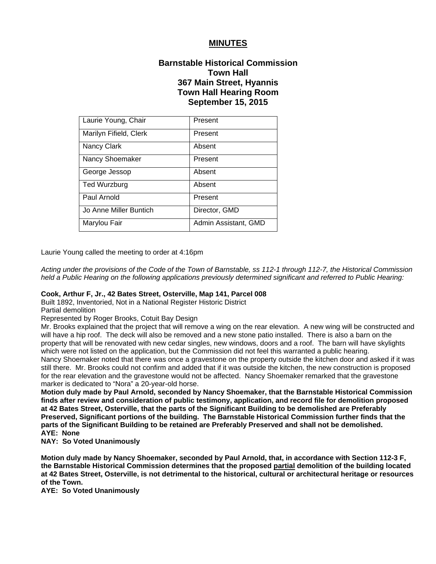## **MINUTES**

# **Barnstable Historical Commission Town Hall 367 Main Street, Hyannis Town Hall Hearing Room September 15, 2015**

| Laurie Young, Chair    | Present              |
|------------------------|----------------------|
| Marilyn Fifield, Clerk | Present              |
| Nancy Clark            | Absent               |
| Nancy Shoemaker        | Present              |
| George Jessop          | Absent               |
| <b>Ted Wurzburg</b>    | Absent               |
| Paul Arnold            | Present              |
| Jo Anne Miller Buntich | Director, GMD        |
| Marylou Fair           | Admin Assistant, GMD |

Laurie Young called the meeting to order at 4:16pm

*Acting under the provisions of the Code of the Town of Barnstable, ss 112-1 through 112-7, the Historical Commission held a Public Hearing on the following applications previously determined significant and referred to Public Hearing:*

#### **Cook, Arthur F, Jr., 42 Bates Street, Osterville, Map 141, Parcel 008**

Built 1892, Inventoried, Not in a National Register Historic District

Partial demolition

Represented by Roger Brooks, Cotuit Bay Design

Mr. Brooks explained that the project that will remove a wing on the rear elevation. A new wing will be constructed and will have a hip roof. The deck will also be removed and a new stone patio installed. There is also a barn on the property that will be renovated with new cedar singles, new windows, doors and a roof. The barn will have skylights which were not listed on the application, but the Commission did not feel this warranted a public hearing. Nancy Shoemaker noted that there was once a gravestone on the property outside the kitchen door and asked if it was still there. Mr. Brooks could not confirm and added that if it was outside the kitchen, the new construction is proposed for the rear elevation and the gravestone would not be affected. Nancy Shoemaker remarked that the gravestone marker is dedicated to "Nora" a 20-year-old horse.

**Motion duly made by Paul Arnold, seconded by Nancy Shoemaker, that the Barnstable Historical Commission finds after review and consideration of public testimony, application, and record file for demolition proposed at 42 Bates Street, Osterville, that the parts of the Significant Building to be demolished are Preferably Preserved, Significant portions of the building. The Barnstable Historical Commission further finds that the parts of the Significant Building to be retained are Preferably Preserved and shall not be demolished. AYE: None** 

**NAY: So Voted Unanimously** 

**Motion duly made by Nancy Shoemaker, seconded by Paul Arnold, that, in accordance with Section 112-3 F, the Barnstable Historical Commission determines that the proposed partial demolition of the building located at 42 Bates Street, Osterville, is not detrimental to the historical, cultural or architectural heritage or resources of the Town.** 

**AYE: So Voted Unanimously**